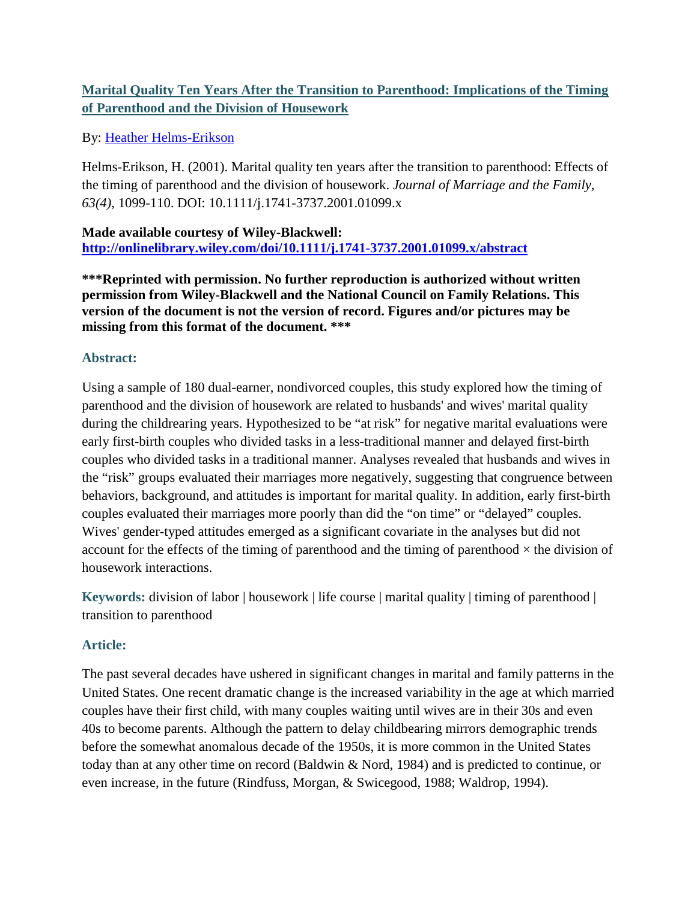# **Marital Quality Ten Years After the Transition to Parenthood: Implications of the Timing of Parenthood and the Division of Housework**

# By: [Heather Helms-Erikson](http://libres.uncg.edu/ir/uncg/clist.aspx?id=1216)

Helms-Erikson, H. (2001). Marital quality ten years after the transition to parenthood: Effects of the timing of parenthood and the division of housework. *Journal of Marriage and the Family, 63(4)*, 1099-110. DOI: 10.1111/j.1741-3737.2001.01099.x

**Made available courtesy of Wiley-Blackwell: <http://onlinelibrary.wiley.com/doi/10.1111/j.1741-3737.2001.01099.x/abstract>**

**\*\*\*Reprinted with permission. No further reproduction is authorized without written permission from Wiley-Blackwell and the National Council on Family Relations. This version of the document is not the version of record. Figures and/or pictures may be missing from this format of the document. \*\*\***

### **Abstract:**

Using a sample of 180 dual-earner, nondivorced couples, this study explored how the timing of parenthood and the division of housework are related to husbands' and wives' marital quality during the childrearing years. Hypothesized to be "at risk" for negative marital evaluations were early first-birth couples who divided tasks in a less-traditional manner and delayed first-birth couples who divided tasks in a traditional manner. Analyses revealed that husbands and wives in the "risk" groups evaluated their marriages more negatively, suggesting that congruence between behaviors, background, and attitudes is important for marital quality. In addition, early first-birth couples evaluated their marriages more poorly than did the "on time" or "delayed" couples. Wives' gender-typed attitudes emerged as a significant covariate in the analyses but did not account for the effects of the timing of parenthood and the timing of parenthood  $\times$  the division of housework interactions.

**Keywords:** division of labor | housework | life course | marital quality | timing of parenthood | transition to parenthood

# **Article:**

The past several decades have ushered in significant changes in marital and family patterns in the United States. One recent dramatic change is the increased variability in the age at which married couples have their first child, with many couples waiting until wives are in their 30s and even 40s to become parents. Although the pattern to delay childbearing mirrors demographic trends before the somewhat anomalous decade of the 1950s, it is more common in the United States today than at any other time on record (Baldwin & Nord, 1984) and is predicted to continue, or even increase, in the future (Rindfuss, Morgan, & Swicegood, 1988; Waldrop, 1994).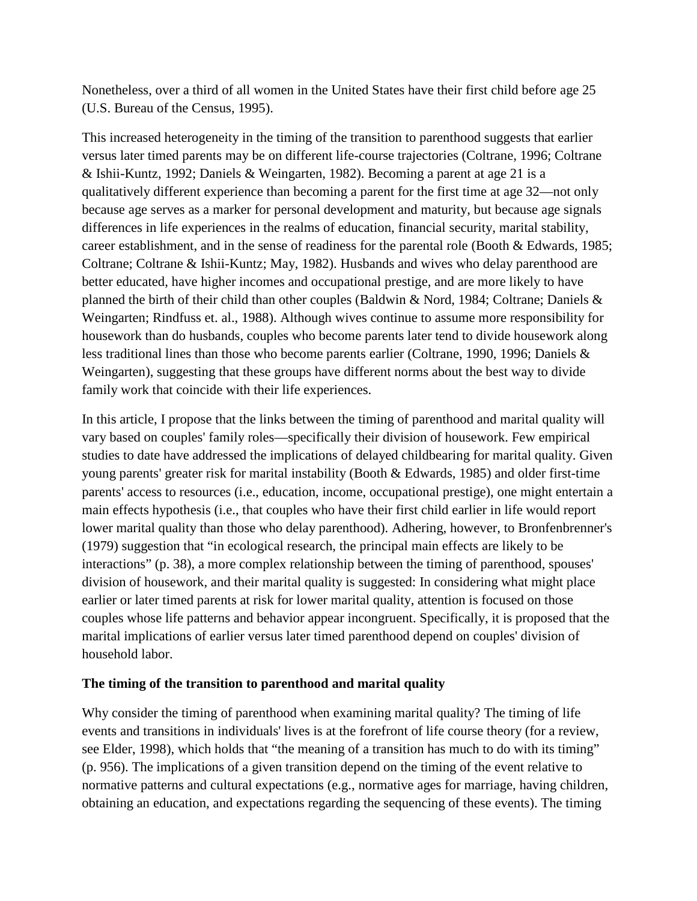Nonetheless, over a third of all women in the United States have their first child before age 25 (U.S. Bureau of the Census, 1995).

This increased heterogeneity in the timing of the transition to parenthood suggests that earlier versus later timed parents may be on different life-course trajectories (Coltrane, 1996; Coltrane & Ishii-Kuntz, 1992; Daniels & Weingarten, 1982). Becoming a parent at age 21 is a qualitatively different experience than becoming a parent for the first time at age 32—not only because age serves as a marker for personal development and maturity, but because age signals differences in life experiences in the realms of education, financial security, marital stability, career establishment, and in the sense of readiness for the parental role (Booth & Edwards, 1985; Coltrane; Coltrane & Ishii-Kuntz; May, 1982). Husbands and wives who delay parenthood are better educated, have higher incomes and occupational prestige, and are more likely to have planned the birth of their child than other couples (Baldwin & Nord, 1984; Coltrane; Daniels & Weingarten; Rindfuss et. al., 1988). Although wives continue to assume more responsibility for housework than do husbands, couples who become parents later tend to divide housework along less traditional lines than those who become parents earlier (Coltrane, 1990, 1996; Daniels & Weingarten), suggesting that these groups have different norms about the best way to divide family work that coincide with their life experiences.

In this article, I propose that the links between the timing of parenthood and marital quality will vary based on couples' family roles—specifically their division of housework. Few empirical studies to date have addressed the implications of delayed childbearing for marital quality. Given young parents' greater risk for marital instability (Booth & Edwards, 1985) and older first-time parents' access to resources (i.e., education, income, occupational prestige), one might entertain a main effects hypothesis (i.e., that couples who have their first child earlier in life would report lower marital quality than those who delay parenthood). Adhering, however, to Bronfenbrenner's (1979) suggestion that "in ecological research, the principal main effects are likely to be interactions" (p. 38), a more complex relationship between the timing of parenthood, spouses' division of housework, and their marital quality is suggested: In considering what might place earlier or later timed parents at risk for lower marital quality, attention is focused on those couples whose life patterns and behavior appear incongruent. Specifically, it is proposed that the marital implications of earlier versus later timed parenthood depend on couples' division of household labor.

### **The timing of the transition to parenthood and marital quality**

Why consider the timing of parenthood when examining marital quality? The timing of life events and transitions in individuals' lives is at the forefront of life course theory (for a review, see Elder, 1998), which holds that "the meaning of a transition has much to do with its timing" (p. 956). The implications of a given transition depend on the timing of the event relative to normative patterns and cultural expectations (e.g., normative ages for marriage, having children, obtaining an education, and expectations regarding the sequencing of these events). The timing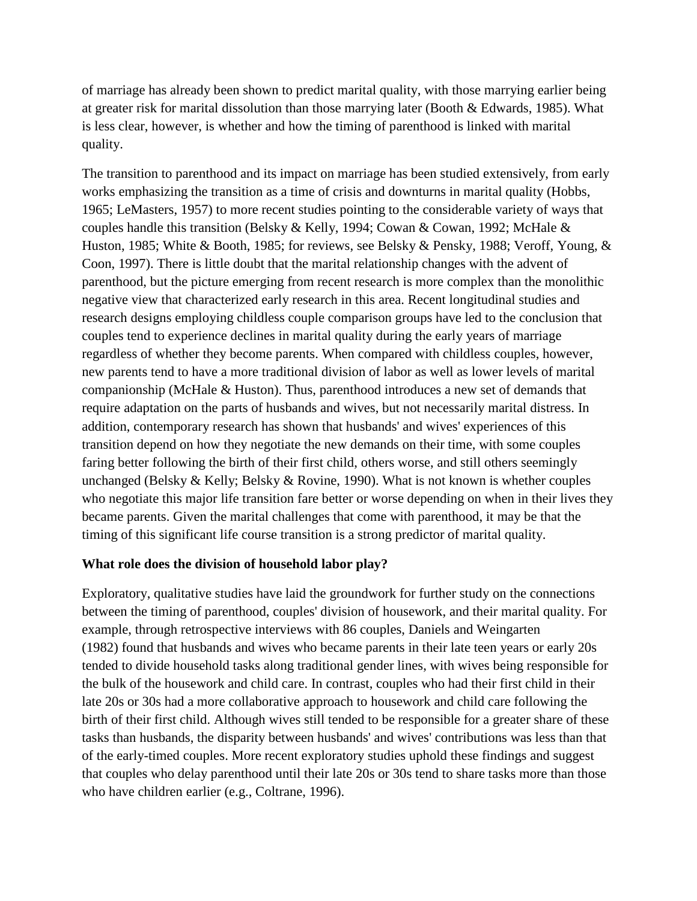of marriage has already been shown to predict marital quality, with those marrying earlier being at greater risk for marital dissolution than those marrying later (Booth & Edwards, 1985). What is less clear, however, is whether and how the timing of parenthood is linked with marital quality.

The transition to parenthood and its impact on marriage has been studied extensively, from early works emphasizing the transition as a time of crisis and downturns in marital quality (Hobbs, 1965; LeMasters, 1957) to more recent studies pointing to the considerable variety of ways that couples handle this transition (Belsky & Kelly, 1994; Cowan & Cowan, 1992; McHale & Huston, 1985; White & Booth, 1985; for reviews, see Belsky & Pensky, 1988; Veroff, Young, & Coon, 1997). There is little doubt that the marital relationship changes with the advent of parenthood, but the picture emerging from recent research is more complex than the monolithic negative view that characterized early research in this area. Recent longitudinal studies and research designs employing childless couple comparison groups have led to the conclusion that couples tend to experience declines in marital quality during the early years of marriage regardless of whether they become parents. When compared with childless couples, however, new parents tend to have a more traditional division of labor as well as lower levels of marital companionship (McHale & Huston). Thus, parenthood introduces a new set of demands that require adaptation on the parts of husbands and wives, but not necessarily marital distress. In addition, contemporary research has shown that husbands' and wives' experiences of this transition depend on how they negotiate the new demands on their time, with some couples faring better following the birth of their first child, others worse, and still others seemingly unchanged (Belsky & Kelly; Belsky & Rovine, 1990). What is not known is whether couples who negotiate this major life transition fare better or worse depending on when in their lives they became parents. Given the marital challenges that come with parenthood, it may be that the timing of this significant life course transition is a strong predictor of marital quality.

#### **What role does the division of household labor play?**

Exploratory, qualitative studies have laid the groundwork for further study on the connections between the timing of parenthood, couples' division of housework, and their marital quality. For example, through retrospective interviews with 86 couples, Daniels and Weingarten (1982) found that husbands and wives who became parents in their late teen years or early 20s tended to divide household tasks along traditional gender lines, with wives being responsible for the bulk of the housework and child care. In contrast, couples who had their first child in their late 20s or 30s had a more collaborative approach to housework and child care following the birth of their first child. Although wives still tended to be responsible for a greater share of these tasks than husbands, the disparity between husbands' and wives' contributions was less than that of the early-timed couples. More recent exploratory studies uphold these findings and suggest that couples who delay parenthood until their late 20s or 30s tend to share tasks more than those who have children earlier (e.g., Coltrane, 1996).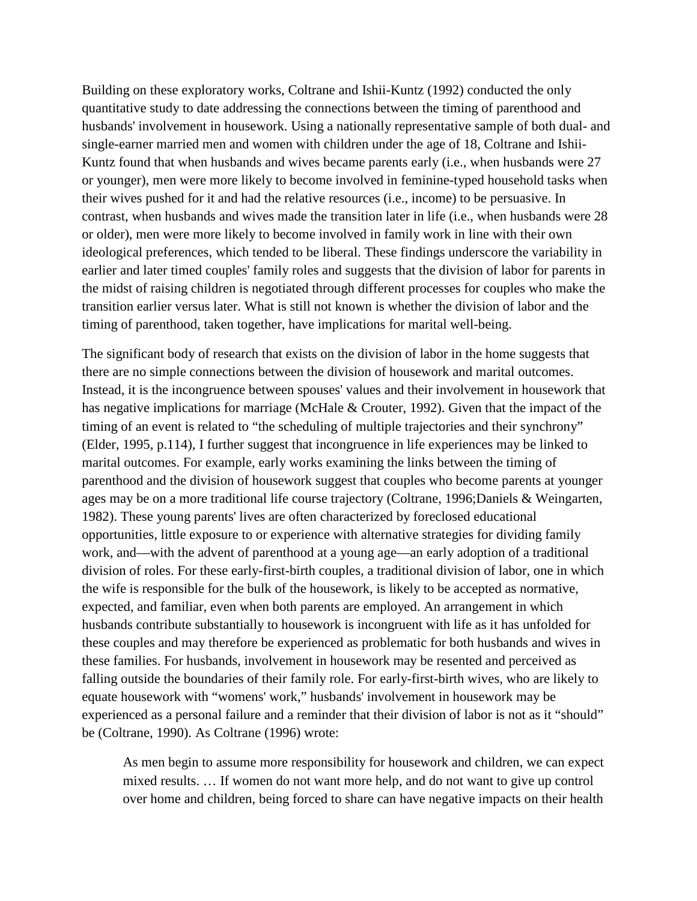Building on these exploratory works, Coltrane and Ishii-Kuntz (1992) conducted the only quantitative study to date addressing the connections between the timing of parenthood and husbands' involvement in housework. Using a nationally representative sample of both dual- and single-earner married men and women with children under the age of 18, Coltrane and Ishii-Kuntz found that when husbands and wives became parents early (i.e., when husbands were 27 or younger), men were more likely to become involved in feminine-typed household tasks when their wives pushed for it and had the relative resources (i.e., income) to be persuasive. In contrast, when husbands and wives made the transition later in life (i.e., when husbands were 28 or older), men were more likely to become involved in family work in line with their own ideological preferences, which tended to be liberal. These findings underscore the variability in earlier and later timed couples' family roles and suggests that the division of labor for parents in the midst of raising children is negotiated through different processes for couples who make the transition earlier versus later. What is still not known is whether the division of labor and the timing of parenthood, taken together, have implications for marital well-being.

The significant body of research that exists on the division of labor in the home suggests that there are no simple connections between the division of housework and marital outcomes. Instead, it is the incongruence between spouses' values and their involvement in housework that has negative implications for marriage (McHale & Crouter, 1992). Given that the impact of the timing of an event is related to "the scheduling of multiple trajectories and their synchrony" (Elder, 1995, p.114), I further suggest that incongruence in life experiences may be linked to marital outcomes. For example, early works examining the links between the timing of parenthood and the division of housework suggest that couples who become parents at younger ages may be on a more traditional life course trajectory (Coltrane, 1996;Daniels & Weingarten, 1982). These young parents' lives are often characterized by foreclosed educational opportunities, little exposure to or experience with alternative strategies for dividing family work, and—with the advent of parenthood at a young age—an early adoption of a traditional division of roles. For these early-first-birth couples, a traditional division of labor, one in which the wife is responsible for the bulk of the housework, is likely to be accepted as normative, expected, and familiar, even when both parents are employed. An arrangement in which husbands contribute substantially to housework is incongruent with life as it has unfolded for these couples and may therefore be experienced as problematic for both husbands and wives in these families. For husbands, involvement in housework may be resented and perceived as falling outside the boundaries of their family role. For early-first-birth wives, who are likely to equate housework with "womens' work," husbands' involvement in housework may be experienced as a personal failure and a reminder that their division of labor is not as it "should" be (Coltrane, 1990). As Coltrane (1996) wrote:

As men begin to assume more responsibility for housework and children, we can expect mixed results. … If women do not want more help, and do not want to give up control over home and children, being forced to share can have negative impacts on their health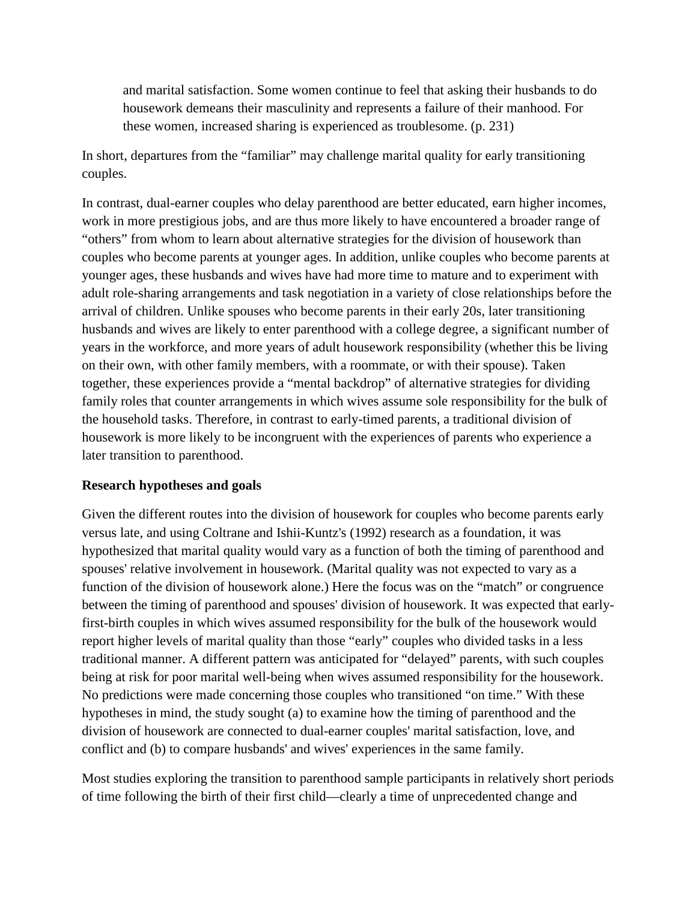and marital satisfaction. Some women continue to feel that asking their husbands to do housework demeans their masculinity and represents a failure of their manhood. For these women, increased sharing is experienced as troublesome. (p. 231)

In short, departures from the "familiar" may challenge marital quality for early transitioning couples.

In contrast, dual-earner couples who delay parenthood are better educated, earn higher incomes, work in more prestigious jobs, and are thus more likely to have encountered a broader range of "others" from whom to learn about alternative strategies for the division of housework than couples who become parents at younger ages. In addition, unlike couples who become parents at younger ages, these husbands and wives have had more time to mature and to experiment with adult role-sharing arrangements and task negotiation in a variety of close relationships before the arrival of children. Unlike spouses who become parents in their early 20s, later transitioning husbands and wives are likely to enter parenthood with a college degree, a significant number of years in the workforce, and more years of adult housework responsibility (whether this be living on their own, with other family members, with a roommate, or with their spouse). Taken together, these experiences provide a "mental backdrop" of alternative strategies for dividing family roles that counter arrangements in which wives assume sole responsibility for the bulk of the household tasks. Therefore, in contrast to early-timed parents, a traditional division of housework is more likely to be incongruent with the experiences of parents who experience a later transition to parenthood.

#### **Research hypotheses and goals**

Given the different routes into the division of housework for couples who become parents early versus late, and using Coltrane and Ishii-Kuntz's (1992) research as a foundation, it was hypothesized that marital quality would vary as a function of both the timing of parenthood and spouses' relative involvement in housework. (Marital quality was not expected to vary as a function of the division of housework alone.) Here the focus was on the "match" or congruence between the timing of parenthood and spouses' division of housework. It was expected that earlyfirst-birth couples in which wives assumed responsibility for the bulk of the housework would report higher levels of marital quality than those "early" couples who divided tasks in a less traditional manner. A different pattern was anticipated for "delayed" parents, with such couples being at risk for poor marital well-being when wives assumed responsibility for the housework. No predictions were made concerning those couples who transitioned "on time." With these hypotheses in mind, the study sought (a) to examine how the timing of parenthood and the division of housework are connected to dual-earner couples' marital satisfaction, love, and conflict and (b) to compare husbands' and wives' experiences in the same family.

Most studies exploring the transition to parenthood sample participants in relatively short periods of time following the birth of their first child—clearly a time of unprecedented change and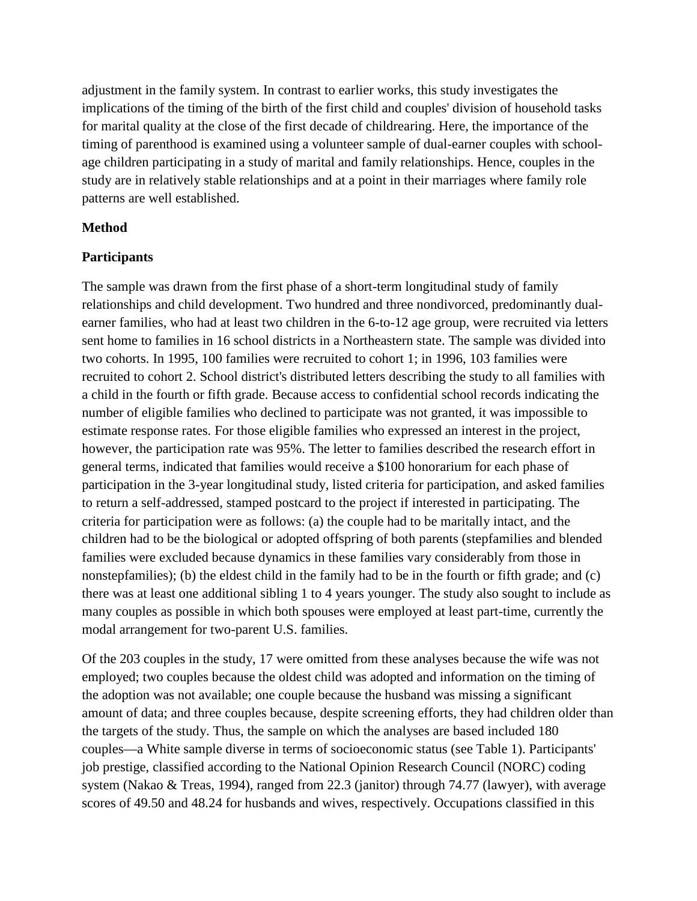adjustment in the family system. In contrast to earlier works, this study investigates the implications of the timing of the birth of the first child and couples' division of household tasks for marital quality at the close of the first decade of childrearing. Here, the importance of the timing of parenthood is examined using a volunteer sample of dual-earner couples with schoolage children participating in a study of marital and family relationships. Hence, couples in the study are in relatively stable relationships and at a point in their marriages where family role patterns are well established.

### **Method**

### **Participants**

The sample was drawn from the first phase of a short-term longitudinal study of family relationships and child development. Two hundred and three nondivorced, predominantly dualearner families, who had at least two children in the 6-to-12 age group, were recruited via letters sent home to families in 16 school districts in a Northeastern state. The sample was divided into two cohorts. In 1995, 100 families were recruited to cohort 1; in 1996, 103 families were recruited to cohort 2. School district's distributed letters describing the study to all families with a child in the fourth or fifth grade. Because access to confidential school records indicating the number of eligible families who declined to participate was not granted, it was impossible to estimate response rates. For those eligible families who expressed an interest in the project, however, the participation rate was 95%. The letter to families described the research effort in general terms, indicated that families would receive a \$100 honorarium for each phase of participation in the 3-year longitudinal study, listed criteria for participation, and asked families to return a self-addressed, stamped postcard to the project if interested in participating. The criteria for participation were as follows: (a) the couple had to be maritally intact, and the children had to be the biological or adopted offspring of both parents (stepfamilies and blended families were excluded because dynamics in these families vary considerably from those in nonstepfamilies); (b) the eldest child in the family had to be in the fourth or fifth grade; and (c) there was at least one additional sibling 1 to 4 years younger. The study also sought to include as many couples as possible in which both spouses were employed at least part-time, currently the modal arrangement for two-parent U.S. families.

Of the 203 couples in the study, 17 were omitted from these analyses because the wife was not employed; two couples because the oldest child was adopted and information on the timing of the adoption was not available; one couple because the husband was missing a significant amount of data; and three couples because, despite screening efforts, they had children older than the targets of the study. Thus, the sample on which the analyses are based included 180 couples—a White sample diverse in terms of socioeconomic status (see Table 1). Participants' job prestige, classified according to the National Opinion Research Council (NORC) coding system (Nakao & Treas, 1994), ranged from 22.3 (janitor) through 74.77 (lawyer), with average scores of 49.50 and 48.24 for husbands and wives, respectively. Occupations classified in this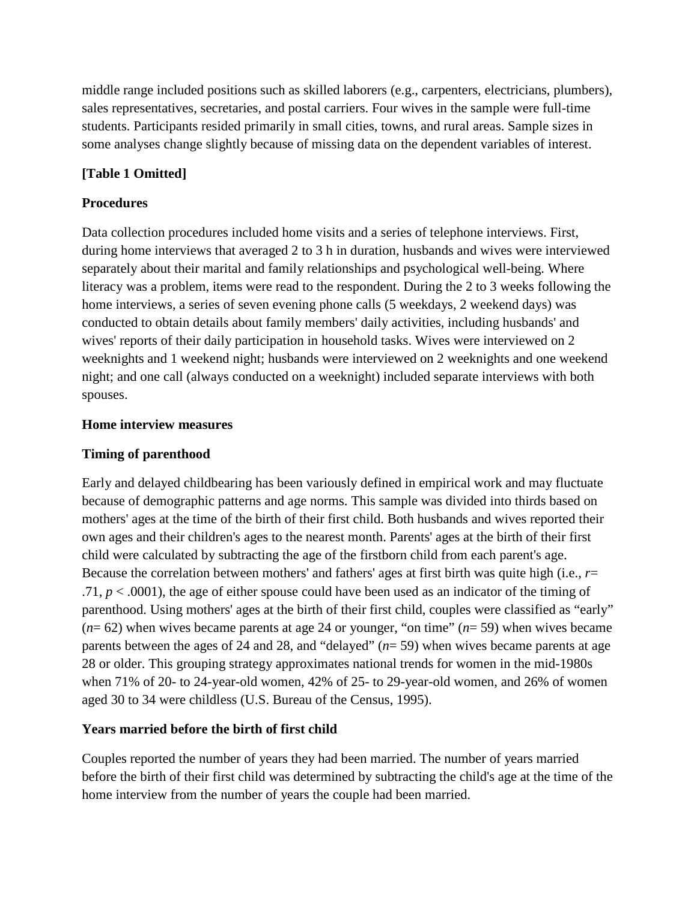middle range included positions such as skilled laborers (e.g., carpenters, electricians, plumbers), sales representatives, secretaries, and postal carriers. Four wives in the sample were full-time students. Participants resided primarily in small cities, towns, and rural areas. Sample sizes in some analyses change slightly because of missing data on the dependent variables of interest.

# **[Table 1 Omitted]**

### **Procedures**

Data collection procedures included home visits and a series of telephone interviews. First, during home interviews that averaged 2 to 3 h in duration, husbands and wives were interviewed separately about their marital and family relationships and psychological well-being. Where literacy was a problem, items were read to the respondent. During the 2 to 3 weeks following the home interviews, a series of seven evening phone calls (5 weekdays, 2 weekend days) was conducted to obtain details about family members' daily activities, including husbands' and wives' reports of their daily participation in household tasks. Wives were interviewed on 2 weeknights and 1 weekend night; husbands were interviewed on 2 weeknights and one weekend night; and one call (always conducted on a weeknight) included separate interviews with both spouses.

### **Home interview measures**

### **Timing of parenthood**

Early and delayed childbearing has been variously defined in empirical work and may fluctuate because of demographic patterns and age norms. This sample was divided into thirds based on mothers' ages at the time of the birth of their first child. Both husbands and wives reported their own ages and their children's ages to the nearest month. Parents' ages at the birth of their first child were calculated by subtracting the age of the firstborn child from each parent's age. Because the correlation between mothers' and fathers' ages at first birth was quite high (i.e., *r*= .71,  $p < .0001$ ), the age of either spouse could have been used as an indicator of the timing of parenthood. Using mothers' ages at the birth of their first child, couples were classified as "early" (*n*= 62) when wives became parents at age 24 or younger, "on time" (*n*= 59) when wives became parents between the ages of 24 and 28, and "delayed" (*n*= 59) when wives became parents at age 28 or older. This grouping strategy approximates national trends for women in the mid-1980s when 71% of 20- to 24-year-old women, 42% of 25- to 29-year-old women, and 26% of women aged 30 to 34 were childless (U.S. Bureau of the Census, 1995).

### **Years married before the birth of first child**

Couples reported the number of years they had been married. The number of years married before the birth of their first child was determined by subtracting the child's age at the time of the home interview from the number of years the couple had been married.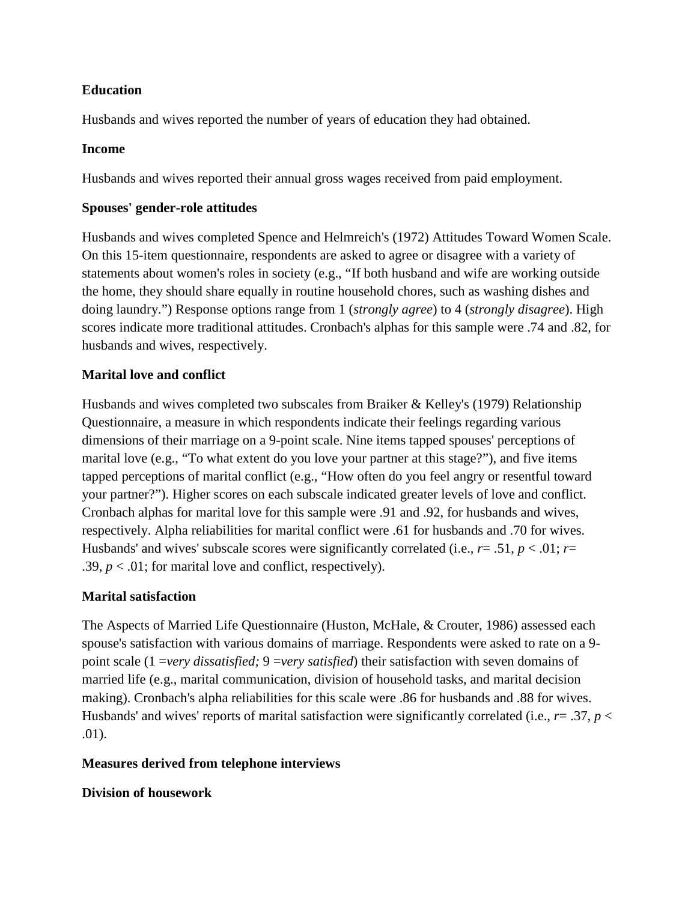### **Education**

Husbands and wives reported the number of years of education they had obtained.

### **Income**

Husbands and wives reported their annual gross wages received from paid employment.

### **Spouses' gender-role attitudes**

Husbands and wives completed Spence and Helmreich's (1972) Attitudes Toward Women Scale. On this 15-item questionnaire, respondents are asked to agree or disagree with a variety of statements about women's roles in society (e.g., "If both husband and wife are working outside the home, they should share equally in routine household chores, such as washing dishes and doing laundry.") Response options range from 1 (*strongly agree*) to 4 (*strongly disagree*). High scores indicate more traditional attitudes. Cronbach's alphas for this sample were .74 and .82, for husbands and wives, respectively.

# **Marital love and conflict**

Husbands and wives completed two subscales from Braiker & Kelley's (1979) Relationship Questionnaire, a measure in which respondents indicate their feelings regarding various dimensions of their marriage on a 9-point scale. Nine items tapped spouses' perceptions of marital love (e.g., "To what extent do you love your partner at this stage?"), and five items tapped perceptions of marital conflict (e.g., "How often do you feel angry or resentful toward your partner?"). Higher scores on each subscale indicated greater levels of love and conflict. Cronbach alphas for marital love for this sample were .91 and .92, for husbands and wives, respectively. Alpha reliabilities for marital conflict were .61 for husbands and .70 for wives. Husbands' and wives' subscale scores were significantly correlated (i.e.,  $r = .51$ ,  $p < .01$ ;  $r =$ .39,  $p < .01$ ; for marital love and conflict, respectively).

# **Marital satisfaction**

The Aspects of Married Life Questionnaire (Huston, McHale, & Crouter, 1986) assessed each spouse's satisfaction with various domains of marriage. Respondents were asked to rate on a 9 point scale (1 =*very dissatisfied;* 9 =*very satisfied*) their satisfaction with seven domains of married life (e.g., marital communication, division of household tasks, and marital decision making). Cronbach's alpha reliabilities for this scale were .86 for husbands and .88 for wives. Husbands' and wives' reports of marital satisfaction were significantly correlated (i.e.,  $r = .37$ ,  $p <$ .01).

# **Measures derived from telephone interviews**

# **Division of housework**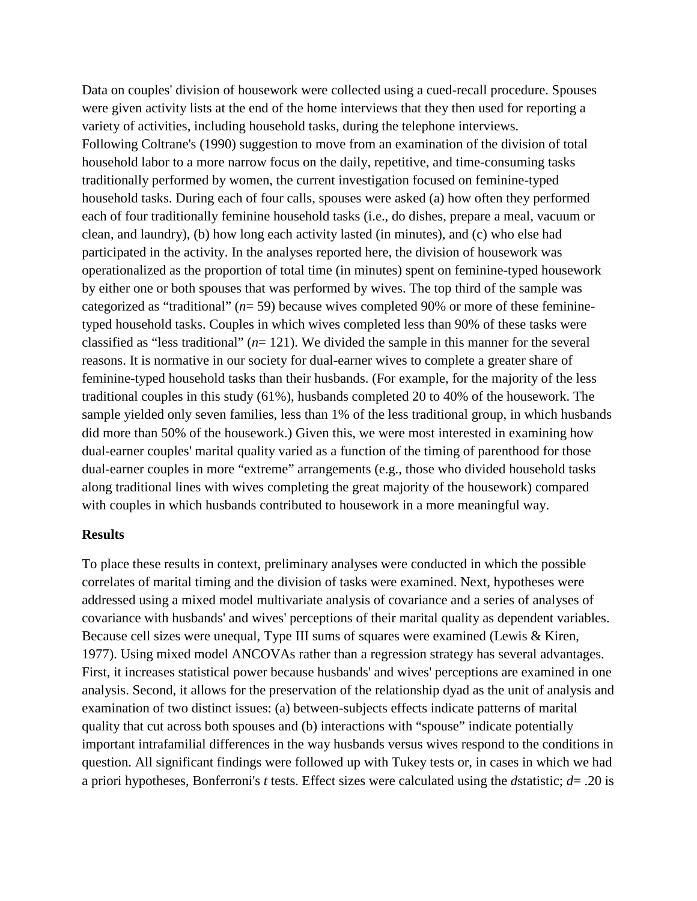Data on couples' division of housework were collected using a cued-recall procedure. Spouses were given activity lists at the end of the home interviews that they then used for reporting a variety of activities, including household tasks, during the telephone interviews. Following Coltrane's (1990) suggestion to move from an examination of the division of total household labor to a more narrow focus on the daily, repetitive, and time-consuming tasks traditionally performed by women, the current investigation focused on feminine-typed household tasks. During each of four calls, spouses were asked (a) how often they performed each of four traditionally feminine household tasks (i.e., do dishes, prepare a meal, vacuum or clean, and laundry), (b) how long each activity lasted (in minutes), and (c) who else had participated in the activity. In the analyses reported here, the division of housework was operationalized as the proportion of total time (in minutes) spent on feminine-typed housework by either one or both spouses that was performed by wives. The top third of the sample was categorized as "traditional" (*n*= 59) because wives completed 90% or more of these femininetyped household tasks. Couples in which wives completed less than 90% of these tasks were classified as "less traditional" (*n*= 121). We divided the sample in this manner for the several reasons. It is normative in our society for dual-earner wives to complete a greater share of feminine-typed household tasks than their husbands. (For example, for the majority of the less traditional couples in this study (61%), husbands completed 20 to 40% of the housework. The sample yielded only seven families, less than 1% of the less traditional group, in which husbands did more than 50% of the housework.) Given this, we were most interested in examining how dual-earner couples' marital quality varied as a function of the timing of parenthood for those dual-earner couples in more "extreme" arrangements (e.g., those who divided household tasks along traditional lines with wives completing the great majority of the housework) compared with couples in which husbands contributed to housework in a more meaningful way.

#### **Results**

To place these results in context, preliminary analyses were conducted in which the possible correlates of marital timing and the division of tasks were examined. Next, hypotheses were addressed using a mixed model multivariate analysis of covariance and a series of analyses of covariance with husbands' and wives' perceptions of their marital quality as dependent variables. Because cell sizes were unequal, Type III sums of squares were examined (Lewis & Kiren, 1977). Using mixed model ANCOVAs rather than a regression strategy has several advantages. First, it increases statistical power because husbands' and wives' perceptions are examined in one analysis. Second, it allows for the preservation of the relationship dyad as the unit of analysis and examination of two distinct issues: (a) between-subjects effects indicate patterns of marital quality that cut across both spouses and (b) interactions with "spouse" indicate potentially important intrafamilial differences in the way husbands versus wives respond to the conditions in question. All significant findings were followed up with Tukey tests or, in cases in which we had a priori hypotheses, Bonferroni's *t* tests. Effect sizes were calculated using the *d*statistic; *d*= .20 is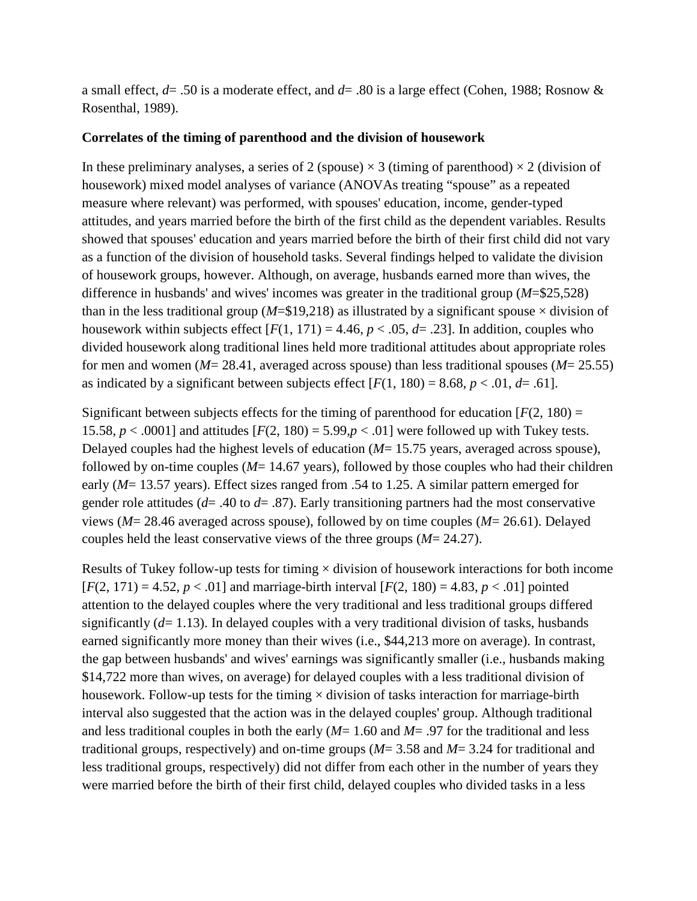a small effect, *d*= .50 is a moderate effect, and *d*= .80 is a large effect (Cohen, 1988; Rosnow & Rosenthal, 1989).

#### **Correlates of the timing of parenthood and the division of housework**

In these preliminary analyses, a series of 2 (spouse)  $\times$  3 (timing of parenthood)  $\times$  2 (division of housework) mixed model analyses of variance (ANOVAs treating "spouse" as a repeated measure where relevant) was performed, with spouses' education, income, gender-typed attitudes, and years married before the birth of the first child as the dependent variables. Results showed that spouses' education and years married before the birth of their first child did not vary as a function of the division of household tasks. Several findings helped to validate the division of housework groups, however. Although, on average, husbands earned more than wives, the difference in husbands' and wives' incomes was greater in the traditional group (*M*=\$25,528) than in the less traditional group ( $M=\$19,218$ ) as illustrated by a significant spouse  $\times$  division of housework within subjects effect  $[F(1, 171) = 4.46, p < .05, d = .23]$ . In addition, couples who divided housework along traditional lines held more traditional attitudes about appropriate roles for men and women (*M*= 28.41, averaged across spouse) than less traditional spouses (*M*= 25.55) as indicated by a significant between subjects effect  $[F(1, 180) = 8.68, p < .01, d = .61]$ .

Significant between subjects effects for the timing of parenthood for education  $[F(2, 180) =$ 15.58,  $p < .0001$ ] and attitudes  $[F(2, 180) = 5.99, p < .01]$  were followed up with Tukey tests. Delayed couples had the highest levels of education (*M*= 15.75 years, averaged across spouse), followed by on-time couples (*M*= 14.67 years), followed by those couples who had their children early (*M*= 13.57 years). Effect sizes ranged from .54 to 1.25. A similar pattern emerged for gender role attitudes ( $d=$  .40 to  $d=$  .87). Early transitioning partners had the most conservative views (*M*= 28.46 averaged across spouse), followed by on time couples (*M*= 26.61). Delayed couples held the least conservative views of the three groups (*M*= 24.27).

Results of Tukey follow-up tests for timing  $\times$  division of housework interactions for both income  $[F(2, 171) = 4.52, p < .01]$  and marriage-birth interval  $[F(2, 180) = 4.83, p < .01]$  pointed attention to the delayed couples where the very traditional and less traditional groups differed significantly  $(d= 1.13)$ . In delayed couples with a very traditional division of tasks, husbands earned significantly more money than their wives (i.e., \$44,213 more on average). In contrast, the gap between husbands' and wives' earnings was significantly smaller (i.e., husbands making \$14,722 more than wives, on average) for delayed couples with a less traditional division of housework. Follow-up tests for the timing  $\times$  division of tasks interaction for marriage-birth interval also suggested that the action was in the delayed couples' group. Although traditional and less traditional couples in both the early (*M*= 1.60 and *M*= .97 for the traditional and less traditional groups, respectively) and on-time groups (*M*= 3.58 and *M*= 3.24 for traditional and less traditional groups, respectively) did not differ from each other in the number of years they were married before the birth of their first child, delayed couples who divided tasks in a less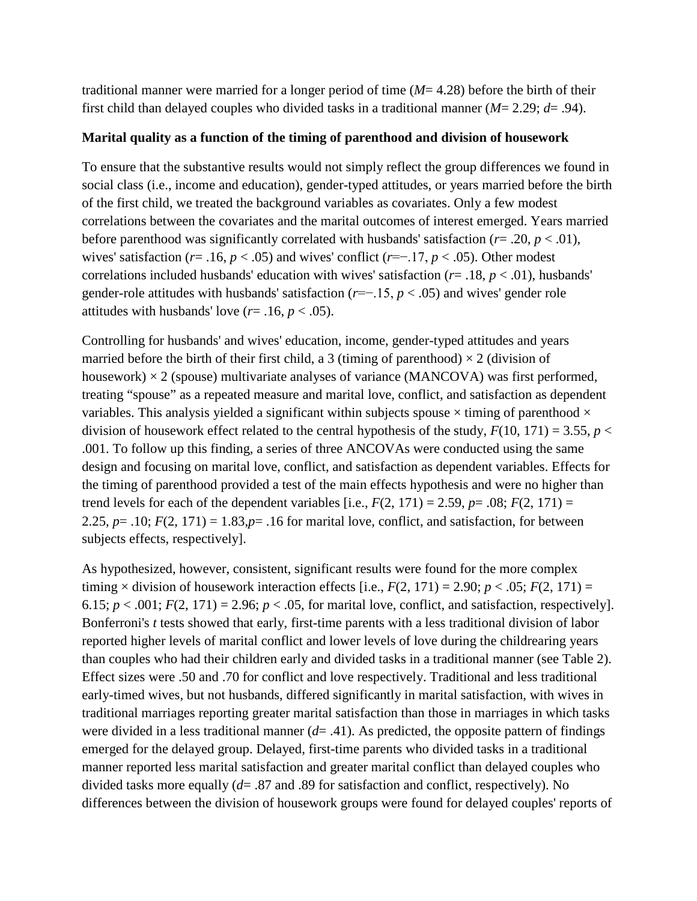traditional manner were married for a longer period of time (*M*= 4.28) before the birth of their first child than delayed couples who divided tasks in a traditional manner (*M*= 2.29; *d*= .94).

#### **Marital quality as a function of the timing of parenthood and division of housework**

To ensure that the substantive results would not simply reflect the group differences we found in social class (i.e., income and education), gender-typed attitudes, or years married before the birth of the first child, we treated the background variables as covariates. Only a few modest correlations between the covariates and the marital outcomes of interest emerged. Years married before parenthood was significantly correlated with husbands' satisfaction (*r*= .20, *p* < .01), wives' satisfaction ( $r = .16$ ,  $p < .05$ ) and wives' conflict ( $r = -.17$ ,  $p < .05$ ). Other modest correlations included husbands' education with wives' satisfaction (*r*= .18, *p* < .01), husbands' gender-role attitudes with husbands' satisfaction (*r*=−.15, *p* < .05) and wives' gender role attitudes with husbands' love  $(r= .16, p < .05)$ .

Controlling for husbands' and wives' education, income, gender-typed attitudes and years married before the birth of their first child, a 3 (timing of parenthood)  $\times$  2 (division of housework)  $\times$  2 (spouse) multivariate analyses of variance (MANCOVA) was first performed, treating "spouse" as a repeated measure and marital love, conflict, and satisfaction as dependent variables. This analysis yielded a significant within subjects spouse  $\times$  timing of parenthood  $\times$ division of housework effect related to the central hypothesis of the study,  $F(10, 171) = 3.55$ ,  $p <$ .001. To follow up this finding, a series of three ANCOVAs were conducted using the same design and focusing on marital love, conflict, and satisfaction as dependent variables. Effects for the timing of parenthood provided a test of the main effects hypothesis and were no higher than trend levels for each of the dependent variables [i.e.,  $F(2, 171) = 2.59$ ,  $p = .08$ ;  $F(2, 171) =$ 2.25,  $p = .10$ ;  $F(2, 171) = 1.83$ , $p = .16$  for marital love, conflict, and satisfaction, for between subjects effects, respectively].

As hypothesized, however, consistent, significant results were found for the more complex timing  $\times$  division of housework interaction effects [i.e.,  $F(2, 171) = 2.90$ ;  $p < .05$ ;  $F(2, 171) =$ 6.15;  $p < .001$ ;  $F(2, 171) = 2.96$ ;  $p < .05$ , for marital love, conflict, and satisfaction, respectively]. Bonferroni's *t* tests showed that early, first-time parents with a less traditional division of labor reported higher levels of marital conflict and lower levels of love during the childrearing years than couples who had their children early and divided tasks in a traditional manner (see Table 2). Effect sizes were .50 and .70 for conflict and love respectively. Traditional and less traditional early-timed wives, but not husbands, differed significantly in marital satisfaction, with wives in traditional marriages reporting greater marital satisfaction than those in marriages in which tasks were divided in a less traditional manner  $(d=0.41)$ . As predicted, the opposite pattern of findings emerged for the delayed group. Delayed, first-time parents who divided tasks in a traditional manner reported less marital satisfaction and greater marital conflict than delayed couples who divided tasks more equally (*d*= .87 and .89 for satisfaction and conflict, respectively). No differences between the division of housework groups were found for delayed couples' reports of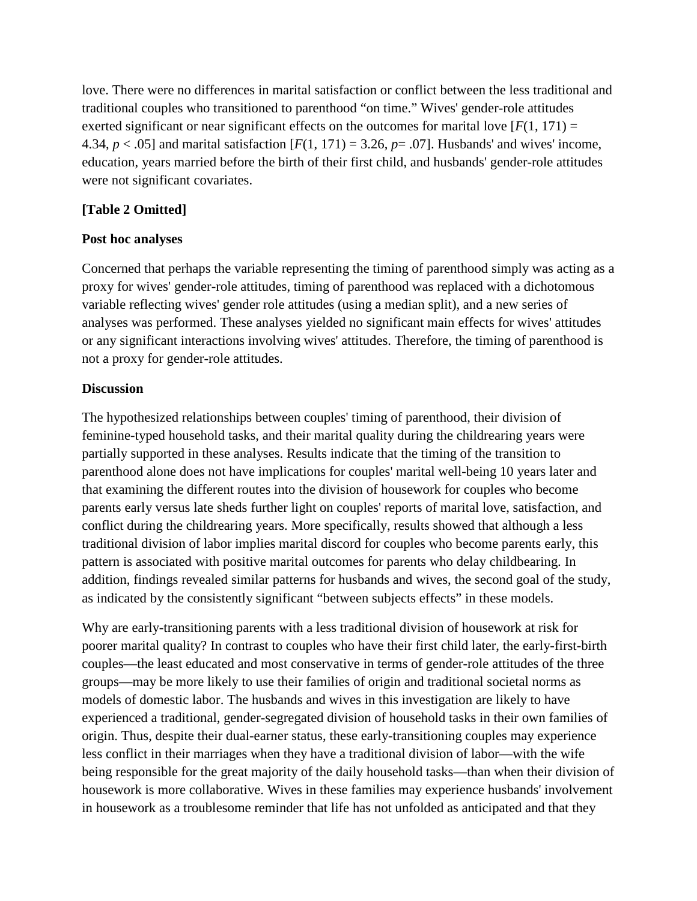love. There were no differences in marital satisfaction or conflict between the less traditional and traditional couples who transitioned to parenthood "on time." Wives' gender-role attitudes exerted significant or near significant effects on the outcomes for marital love  $[F(1, 171) =$ 4.34,  $p < .05$ ] and marital satisfaction  $[F(1, 171) = 3.26, p = .07]$ . Husbands' and wives' income, education, years married before the birth of their first child, and husbands' gender-role attitudes were not significant covariates.

### **[Table 2 Omitted]**

#### **Post hoc analyses**

Concerned that perhaps the variable representing the timing of parenthood simply was acting as a proxy for wives' gender-role attitudes, timing of parenthood was replaced with a dichotomous variable reflecting wives' gender role attitudes (using a median split), and a new series of analyses was performed. These analyses yielded no significant main effects for wives' attitudes or any significant interactions involving wives' attitudes. Therefore, the timing of parenthood is not a proxy for gender-role attitudes.

### **Discussion**

The hypothesized relationships between couples' timing of parenthood, their division of feminine-typed household tasks, and their marital quality during the childrearing years were partially supported in these analyses. Results indicate that the timing of the transition to parenthood alone does not have implications for couples' marital well-being 10 years later and that examining the different routes into the division of housework for couples who become parents early versus late sheds further light on couples' reports of marital love, satisfaction, and conflict during the childrearing years. More specifically, results showed that although a less traditional division of labor implies marital discord for couples who become parents early, this pattern is associated with positive marital outcomes for parents who delay childbearing. In addition, findings revealed similar patterns for husbands and wives, the second goal of the study, as indicated by the consistently significant "between subjects effects" in these models.

Why are early-transitioning parents with a less traditional division of housework at risk for poorer marital quality? In contrast to couples who have their first child later, the early-first-birth couples—the least educated and most conservative in terms of gender-role attitudes of the three groups—may be more likely to use their families of origin and traditional societal norms as models of domestic labor. The husbands and wives in this investigation are likely to have experienced a traditional, gender-segregated division of household tasks in their own families of origin. Thus, despite their dual-earner status, these early-transitioning couples may experience less conflict in their marriages when they have a traditional division of labor—with the wife being responsible for the great majority of the daily household tasks—than when their division of housework is more collaborative. Wives in these families may experience husbands' involvement in housework as a troublesome reminder that life has not unfolded as anticipated and that they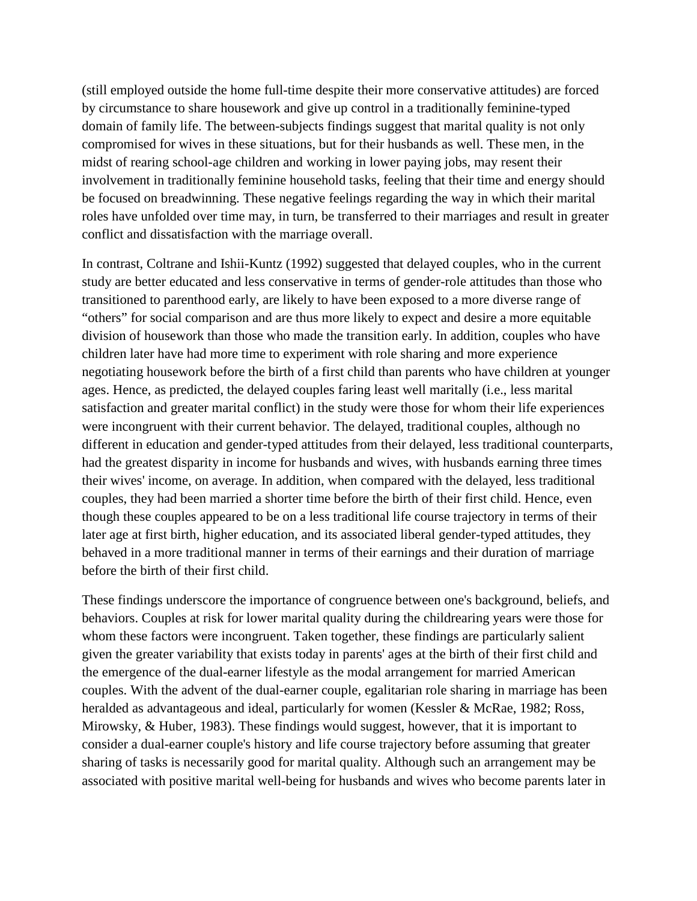(still employed outside the home full-time despite their more conservative attitudes) are forced by circumstance to share housework and give up control in a traditionally feminine-typed domain of family life. The between-subjects findings suggest that marital quality is not only compromised for wives in these situations, but for their husbands as well. These men, in the midst of rearing school-age children and working in lower paying jobs, may resent their involvement in traditionally feminine household tasks, feeling that their time and energy should be focused on breadwinning. These negative feelings regarding the way in which their marital roles have unfolded over time may, in turn, be transferred to their marriages and result in greater conflict and dissatisfaction with the marriage overall.

In contrast, Coltrane and Ishii-Kuntz (1992) suggested that delayed couples, who in the current study are better educated and less conservative in terms of gender-role attitudes than those who transitioned to parenthood early, are likely to have been exposed to a more diverse range of "others" for social comparison and are thus more likely to expect and desire a more equitable division of housework than those who made the transition early. In addition, couples who have children later have had more time to experiment with role sharing and more experience negotiating housework before the birth of a first child than parents who have children at younger ages. Hence, as predicted, the delayed couples faring least well maritally (i.e., less marital satisfaction and greater marital conflict) in the study were those for whom their life experiences were incongruent with their current behavior. The delayed, traditional couples, although no different in education and gender-typed attitudes from their delayed, less traditional counterparts, had the greatest disparity in income for husbands and wives, with husbands earning three times their wives' income, on average. In addition, when compared with the delayed, less traditional couples, they had been married a shorter time before the birth of their first child. Hence, even though these couples appeared to be on a less traditional life course trajectory in terms of their later age at first birth, higher education, and its associated liberal gender-typed attitudes, they behaved in a more traditional manner in terms of their earnings and their duration of marriage before the birth of their first child.

These findings underscore the importance of congruence between one's background, beliefs, and behaviors. Couples at risk for lower marital quality during the childrearing years were those for whom these factors were incongruent. Taken together, these findings are particularly salient given the greater variability that exists today in parents' ages at the birth of their first child and the emergence of the dual-earner lifestyle as the modal arrangement for married American couples. With the advent of the dual-earner couple, egalitarian role sharing in marriage has been heralded as advantageous and ideal, particularly for women (Kessler & McRae, 1982; Ross, Mirowsky, & Huber, 1983). These findings would suggest, however, that it is important to consider a dual-earner couple's history and life course trajectory before assuming that greater sharing of tasks is necessarily good for marital quality. Although such an arrangement may be associated with positive marital well-being for husbands and wives who become parents later in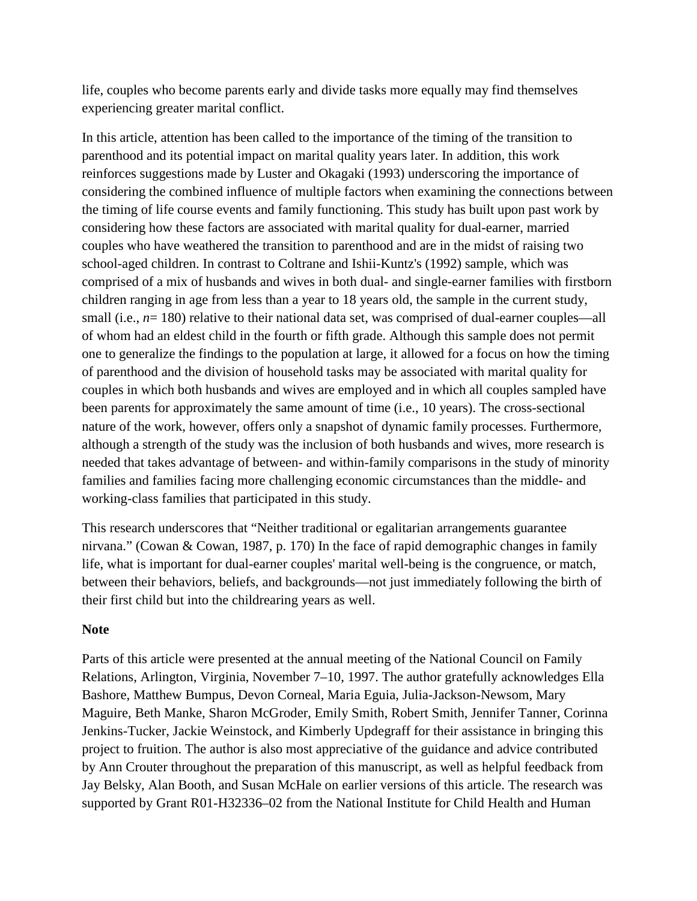life, couples who become parents early and divide tasks more equally may find themselves experiencing greater marital conflict.

In this article, attention has been called to the importance of the timing of the transition to parenthood and its potential impact on marital quality years later. In addition, this work reinforces suggestions made by Luster and Okagaki (1993) underscoring the importance of considering the combined influence of multiple factors when examining the connections between the timing of life course events and family functioning. This study has built upon past work by considering how these factors are associated with marital quality for dual-earner, married couples who have weathered the transition to parenthood and are in the midst of raising two school-aged children. In contrast to Coltrane and Ishii-Kuntz's (1992) sample, which was comprised of a mix of husbands and wives in both dual- and single-earner families with firstborn children ranging in age from less than a year to 18 years old, the sample in the current study, small (i.e.,  $n=180$ ) relative to their national data set, was comprised of dual-earner couples—all of whom had an eldest child in the fourth or fifth grade. Although this sample does not permit one to generalize the findings to the population at large, it allowed for a focus on how the timing of parenthood and the division of household tasks may be associated with marital quality for couples in which both husbands and wives are employed and in which all couples sampled have been parents for approximately the same amount of time (i.e., 10 years). The cross-sectional nature of the work, however, offers only a snapshot of dynamic family processes. Furthermore, although a strength of the study was the inclusion of both husbands and wives, more research is needed that takes advantage of between- and within-family comparisons in the study of minority families and families facing more challenging economic circumstances than the middle- and working-class families that participated in this study.

This research underscores that "Neither traditional or egalitarian arrangements guarantee nirvana." (Cowan & Cowan, 1987, p. 170) In the face of rapid demographic changes in family life, what is important for dual-earner couples' marital well-being is the congruence, or match, between their behaviors, beliefs, and backgrounds—not just immediately following the birth of their first child but into the childrearing years as well.

### **Note**

Parts of this article were presented at the annual meeting of the National Council on Family Relations, Arlington, Virginia, November 7–10, 1997. The author gratefully acknowledges Ella Bashore, Matthew Bumpus, Devon Corneal, Maria Eguia, Julia-Jackson-Newsom, Mary Maguire, Beth Manke, Sharon McGroder, Emily Smith, Robert Smith, Jennifer Tanner, Corinna Jenkins-Tucker, Jackie Weinstock, and Kimberly Updegraff for their assistance in bringing this project to fruition. The author is also most appreciative of the guidance and advice contributed by Ann Crouter throughout the preparation of this manuscript, as well as helpful feedback from Jay Belsky, Alan Booth, and Susan McHale on earlier versions of this article. The research was supported by Grant R01-H32336–02 from the National Institute for Child Health and Human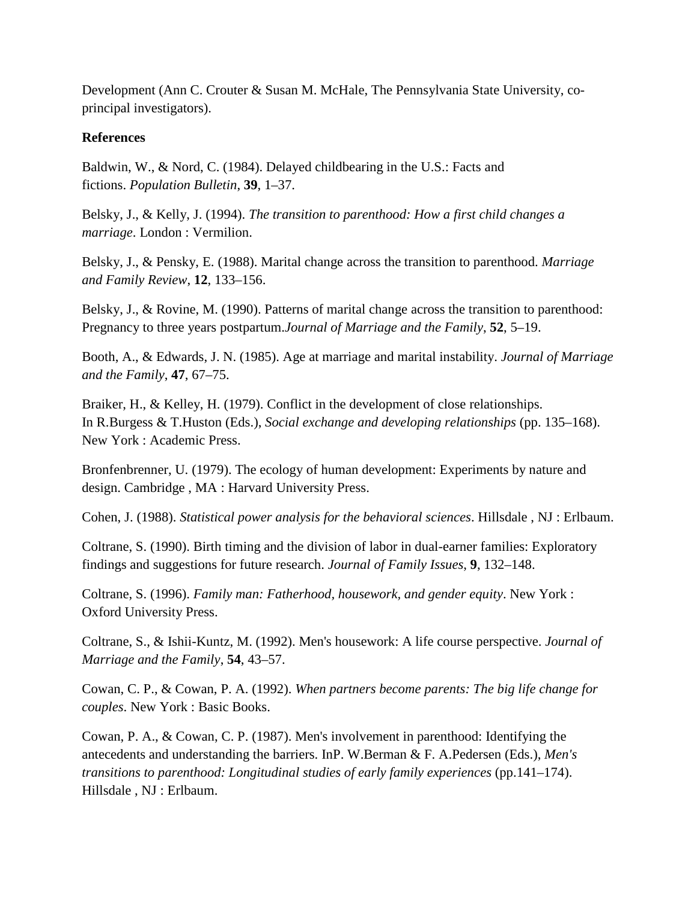Development (Ann C. Crouter & Susan M. McHale, The Pennsylvania State University, coprincipal investigators).

### **References**

Baldwin, W., & Nord, C. (1984). Delayed childbearing in the U.S.: Facts and fictions. *Population Bulletin*, **39**, 1–37.

Belsky, J., & Kelly, J. (1994). *The transition to parenthood: How a first child changes a marriage*. London : Vermilion.

Belsky, J., & Pensky, E. (1988). Marital change across the transition to parenthood. *Marriage and Family Review*, **12**, 133–156.

Belsky, J., & Rovine, M. (1990). Patterns of marital change across the transition to parenthood: Pregnancy to three years postpartum.*Journal of Marriage and the Family*, **52**, 5–19.

Booth, A., & Edwards, J. N. (1985). Age at marriage and marital instability. *Journal of Marriage and the Family*, **47**, 67–75.

Braiker, H., & Kelley, H. (1979). Conflict in the development of close relationships. In R.Burgess & T.Huston (Eds.), *Social exchange and developing relationships* (pp. 135–168). New York : Academic Press.

Bronfenbrenner, U. (1979). The ecology of human development: Experiments by nature and design. Cambridge , MA : Harvard University Press.

Cohen, J. (1988). *Statistical power analysis for the behavioral sciences*. Hillsdale , NJ : Erlbaum.

Coltrane, S. (1990). Birth timing and the division of labor in dual-earner families: Exploratory findings and suggestions for future research. *Journal of Family Issues*, **9**, 132–148.

Coltrane, S. (1996). *Family man: Fatherhood, housework, and gender equity*. New York : Oxford University Press.

Coltrane, S., & Ishii-Kuntz, M. (1992). Men's housework: A life course perspective. *Journal of Marriage and the Family*, **54**, 43–57.

Cowan, C. P., & Cowan, P. A. (1992). *When partners become parents: The big life change for couples*. New York : Basic Books.

Cowan, P. A., & Cowan, C. P. (1987). Men's involvement in parenthood: Identifying the antecedents and understanding the barriers. InP. W.Berman & F. A.Pedersen (Eds.), *Men's transitions to parenthood: Longitudinal studies of early family experiences* (pp.141–174). Hillsdale , NJ : Erlbaum.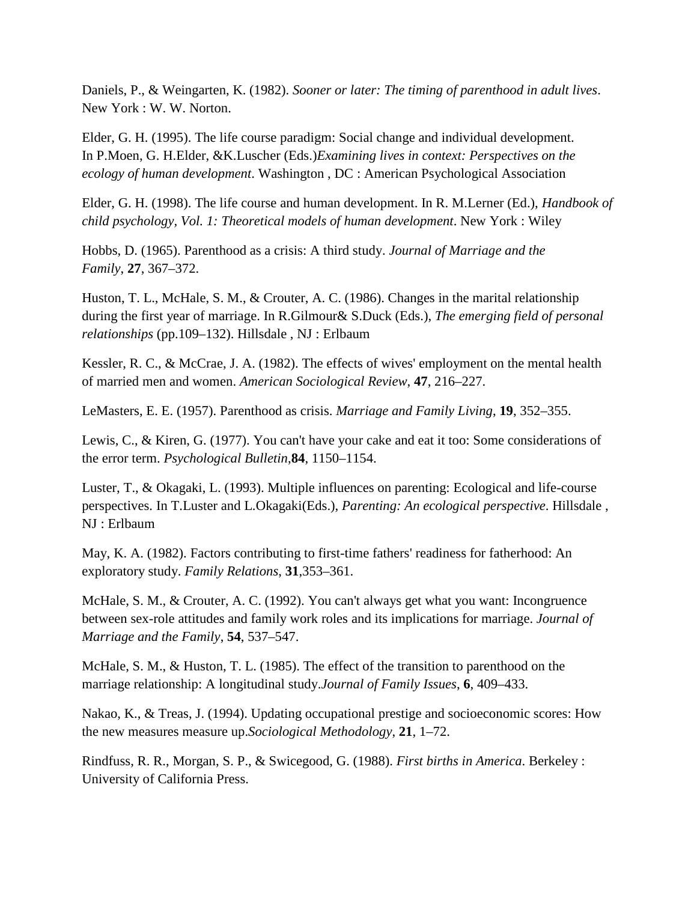Daniels, P., & Weingarten, K. (1982). *Sooner or later: The timing of parenthood in adult lives*. New York : W. W. Norton.

Elder, G. H. (1995). The life course paradigm: Social change and individual development. In P.Moen, G. H.Elder, &K.Luscher (Eds.)*Examining lives in context: Perspectives on the ecology of human development*. Washington , DC : American Psychological Association

Elder, G. H. (1998). The life course and human development. In R. M.Lerner (Ed.), *Handbook of child psychology, Vol. 1: Theoretical models of human development*. New York : Wiley

Hobbs, D. (1965). Parenthood as a crisis: A third study. *Journal of Marriage and the Family*, **27**, 367–372.

Huston, T. L., McHale, S. M., & Crouter, A. C. (1986). Changes in the marital relationship during the first year of marriage. In R.Gilmour& S.Duck (Eds.), *The emerging field of personal relationships* (pp.109–132). Hillsdale , NJ : Erlbaum

Kessler, R. C., & McCrae, J. A. (1982). The effects of wives' employment on the mental health of married men and women. *American Sociological Review*, **47**, 216–227.

LeMasters, E. E. (1957). Parenthood as crisis. *Marriage and Family Living*, **19**, 352–355.

Lewis, C., & Kiren, G. (1977). You can't have your cake and eat it too: Some considerations of the error term. *Psychological Bulletin*,**84**, 1150–1154.

Luster, T., & Okagaki, L. (1993). Multiple influences on parenting: Ecological and life-course perspectives. In T.Luster and L.Okagaki(Eds.), *Parenting: An ecological perspective*. Hillsdale , NJ : Erlbaum

May, K. A. (1982). Factors contributing to first-time fathers' readiness for fatherhood: An exploratory study. *Family Relations*, **31**,353–361.

McHale, S. M., & Crouter, A. C. (1992). You can't always get what you want: Incongruence between sex-role attitudes and family work roles and its implications for marriage. *Journal of Marriage and the Family*, **54**, 537–547.

McHale, S. M., & Huston, T. L. (1985). The effect of the transition to parenthood on the marriage relationship: A longitudinal study.*Journal of Family Issues*, **6**, 409–433.

Nakao, K., & Treas, J. (1994). Updating occupational prestige and socioeconomic scores: How the new measures measure up.*Sociological Methodology*, **21**, 1–72.

Rindfuss, R. R., Morgan, S. P., & Swicegood, G. (1988). *First births in America*. Berkeley : University of California Press.